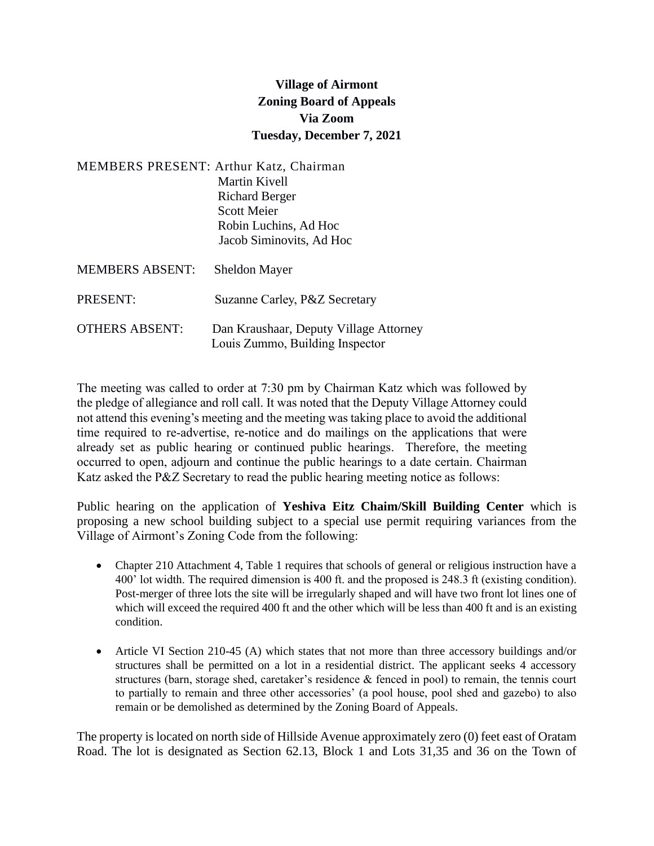## **Village of Airmont Zoning Board of Appeals Via Zoom Tuesday, December 7, 2021**

|                        | <b>MEMBERS PRESENT: Arthur Katz, Chairman</b><br>Martin Kivell<br><b>Richard Berger</b><br><b>Scott Meier</b><br>Robin Luchins, Ad Hoc<br>Jacob Siminovits, Ad Hoc |
|------------------------|--------------------------------------------------------------------------------------------------------------------------------------------------------------------|
| <b>MEMBERS ABSENT:</b> | <b>Sheldon Mayer</b>                                                                                                                                               |
| PRESENT:               | Suzanne Carley, P&Z Secretary                                                                                                                                      |
| <b>OTHERS ABSENT:</b>  | Dan Kraushaar, Deputy Village Attorney<br>Louis Zummo, Building Inspector                                                                                          |

The meeting was called to order at 7:30 pm by Chairman Katz which was followed by the pledge of allegiance and roll call. It was noted that the Deputy Village Attorney could not attend this evening's meeting and the meeting was taking place to avoid the additional time required to re-advertise, re-notice and do mailings on the applications that were already set as public hearing or continued public hearings. Therefore, the meeting occurred to open, adjourn and continue the public hearings to a date certain. Chairman Katz asked the P&Z Secretary to read the public hearing meeting notice as follows:

Public hearing on the application of **Yeshiva Eitz Chaim/Skill Building Center** which is proposing a new school building subject to a special use permit requiring variances from the Village of Airmont's Zoning Code from the following:

- Chapter 210 Attachment 4, Table 1 requires that schools of general or religious instruction have a 400' lot width. The required dimension is 400 ft. and the proposed is 248.3 ft (existing condition). Post-merger of three lots the site will be irregularly shaped and will have two front lot lines one of which will exceed the required 400 ft and the other which will be less than 400 ft and is an existing condition.
- Article VI Section 210-45 (A) which states that not more than three accessory buildings and/or structures shall be permitted on a lot in a residential district. The applicant seeks 4 accessory structures (barn, storage shed, caretaker's residence & fenced in pool) to remain, the tennis court to partially to remain and three other accessories' (a pool house, pool shed and gazebo) to also remain or be demolished as determined by the Zoning Board of Appeals.

The property is located on north side of Hillside Avenue approximately zero (0) feet east of Oratam Road. The lot is designated as Section 62.13, Block 1 and Lots 31,35 and 36 on the Town of